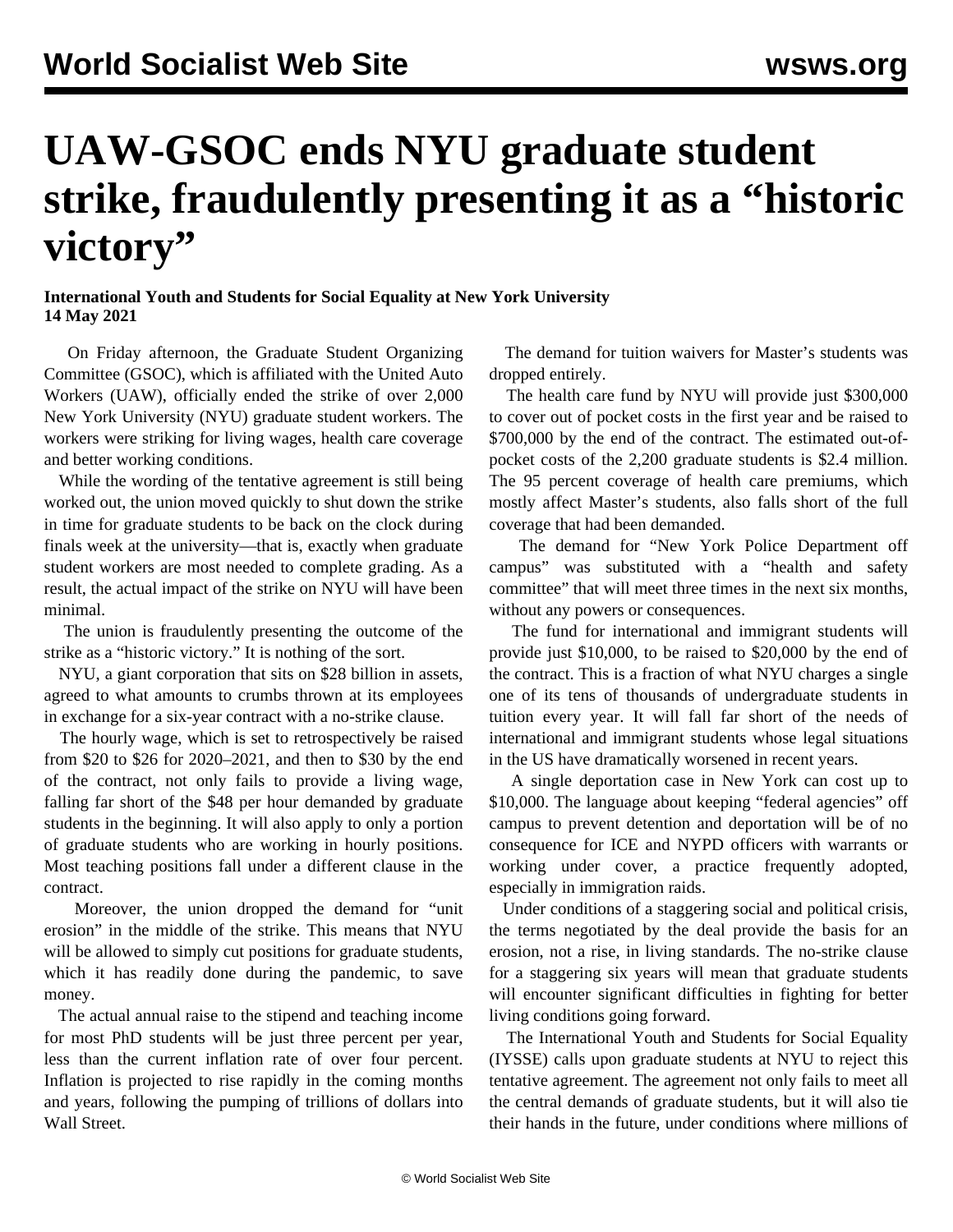## **UAW-GSOC ends NYU graduate student strike, fraudulently presenting it as a "historic victory"**

## **International Youth and Students for Social Equality at New York University 14 May 2021**

 On Friday afternoon, the Graduate Student Organizing Committee (GSOC), which is affiliated with the United Auto Workers (UAW), officially ended the strike of over 2,000 New York University (NYU) graduate student workers. The workers were striking for living wages, health care coverage and better working conditions.

 While the wording of the tentative agreement is still being worked out, the union moved quickly to shut down the strike in time for graduate students to be back on the clock during finals week at the university—that is, exactly when graduate student workers are most needed to complete grading. As a result, the actual impact of the strike on NYU will have been minimal.

 The union is fraudulently presenting the outcome of the strike as a "historic victory." It is nothing of the sort.

 NYU, a giant corporation that sits on \$28 billion in assets, agreed to what amounts to crumbs thrown at its employees in exchange for a six-year contract with a no-strike clause.

 The hourly wage, which is set to retrospectively be raised from \$20 to \$26 for 2020–2021, and then to \$30 by the end of the contract, not only fails to provide a living wage, falling far short of the \$48 per hour demanded by graduate students in the beginning. It will also apply to only a portion of graduate students who are working in hourly positions. Most teaching positions fall under a different clause in the contract.

 Moreover, the union dropped the demand for "unit erosion" in the middle of the strike. This means that NYU will be allowed to simply cut positions for graduate students, which it has readily done during the pandemic, to save money.

 The actual annual raise to the stipend and teaching income for most PhD students will be just three percent per year, less than the current inflation rate of over four percent. [Inflation](/en/articles/2021/05/13/pric-m13.html) is projected to rise rapidly in the coming months and years, following the pumping of trillions of dollars into Wall Street.

 The demand for tuition waivers for Master's students was dropped entirely.

 The health care fund by NYU will provide just \$300,000 to cover out of pocket costs in the first year and be raised to \$700,000 by the end of the contract. The estimated out-ofpocket costs of the 2,200 graduate students is \$2.4 million. The 95 percent coverage of health care premiums, which mostly affect Master's students, also falls short of the full coverage that had been demanded.

 The demand for "New York Police Department off campus" was substituted with a "health and safety committee" that will meet three times in the next six months, without any powers or consequences.

 The fund for international and immigrant students will provide just \$10,000, to be raised to \$20,000 by the end of the contract. This is a fraction of what NYU charges a single one of its tens of thousands of undergraduate students in tuition every year. It will fall far short of the needs of international and immigrant students whose legal situations in the US have dramatically worsened in recent years.

 A single deportation case in New York can cost up to \$10,000. The language about keeping "federal agencies" off campus to prevent detention and deportation will be of no consequence for ICE and NYPD officers with warrants or working under cover, a practice frequently adopted, especially in immigration raids.

 Under conditions of a staggering social and political crisis, the terms negotiated by the deal provide the basis for an erosion, not a rise, in living standards. The no-strike clause for a staggering six years will mean that graduate students will encounter significant difficulties in fighting for better living conditions going forward.

 The [International Youth and Students for Social Equality](/en/special/pages/iysse/about.html) (IYSSE) calls upon graduate students at NYU to reject this tentative agreement. The agreement not only fails to meet all the central demands of graduate students, but it will also tie their hands in the future, under conditions where millions of